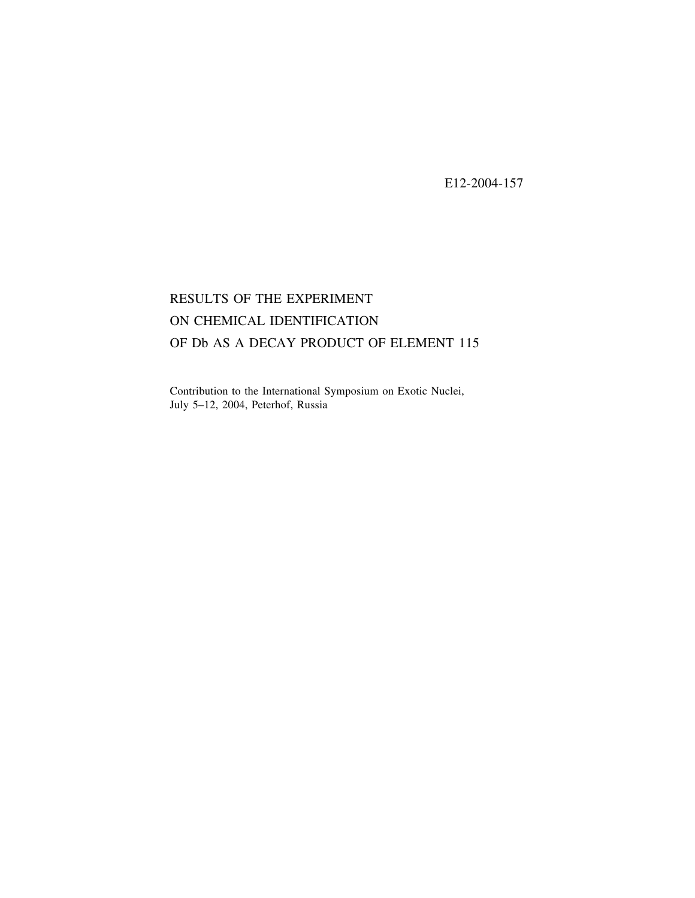E12-2004-157

## RESULTS OF THE EXPERIMENT ON CHEMICAL IDENTIFICATION OF Db AS A DECAY PRODUCT OF ELEMENT 115

Contribution to the International Symposium on Exotic Nuclei, July  $5-12$ ,  $2004$ , Peterhof, Russia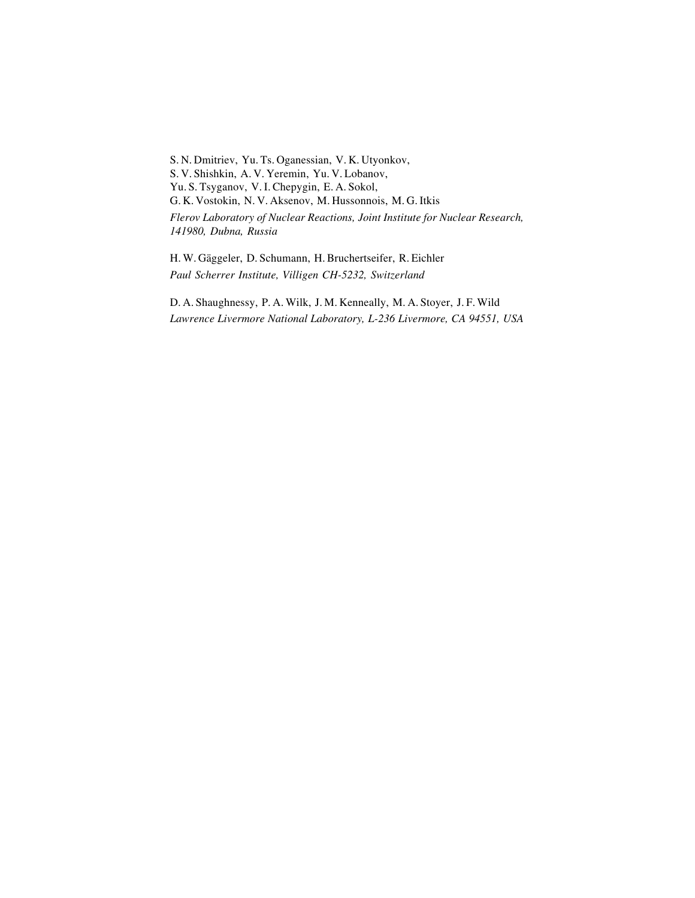S. N. Dmitriev, Yu. Ts. Oganessian, V. K. Utyonkov, S. V. Shishkin, A. V. Yeremin, Yu. V. Lobanov, Yu. S. Tsyganov, V. I. Chepygin, E. A. Sokol, G. K. Vostokin, N. V. Aksenov, M. Hussonnois, M. G. Itkis *Flerov Laboratory of Nuclear Reactions, Joint Institute for Nuclear Research, 141980, Dubna, Russia*

H. W. Géaggeler, D. Schumann, H. Bruchertseifer, R. Eichler *Paul Scherrer Institute, Villigen CH-5232, Switzerland*

D. A. Shaughnessy, P. A. Wilk, J. M. Kenneally, M. A. Stoyer, J. F. Wild *Lawrence Livermore National Laboratory, L-236 Livermore, CA 94551, USA*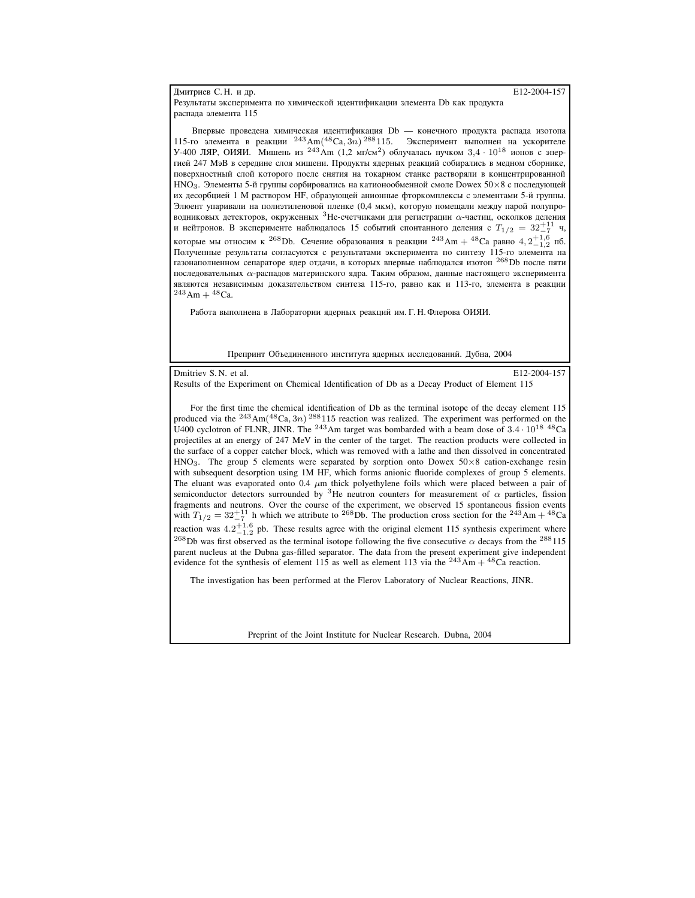## Дмитриев С. Н. и др. **Ф**  $\qquad \qquad$  **E12-2004-157**

Результаты эксперимента по химической идентификации элемента Db как продукта распала элемента 115

Впервые проведена химическая идентификация Db — конечного продукта распада изотопа 115-го элемента в реакции  $^{243}$ Ат $(^{48}Ca, 3n)$   $^{288}$ 115. Эксперимент выполнен на ускорителе У-400 ЛЯР, ОИЯИ. Мишень из <sup>243</sup>Ат (1,2 мг/см<sup>2</sup>) облучалась пучком 3,4 ·  $10^{18}$  ионов с энертией 247 МэВ в середине слоя мишени. Продукты ядерных реакций собирались в медном сборнике, поверхностный слой которого после снятия на токарном станке растворяли в концентрированной НNO<sub>3</sub>. Элементы 5-й группы сорбировались на катионообменной смоле Dowex 50×8 с последующей их десорбцией 1 М раствором НF, образующей анионные фторкомплексы с элементами 5-й группы. Элюент упаривали на полиэтиленовой пленке (0,4 мкм), которую помещали между парой полупроводниковых детекторов, окруженных <sup>3</sup>Не-счетчиками для регистрации  $\alpha$ -частиц, осколков деления и нейтронов. В эксперименте наблюдалось 15 событий спонтанного деления с  $T_{1/2} = 32^{+11}_{-7}$  ч, которые мы относим к <sup>268</sup>Db. Сечение образования в реакции <sup>243</sup>Am + <sup>48</sup>Ca равно 4, 2<sup>+1,6</sup> пб. Полученные результаты согласуются с результатами эксперимента по синтезу 115-го элемента на газонаполненном сепараторе ядер отдачи, в которых впервые наблюдался изотоп <sup>268</sup>Db после пяти последовательных о-распадов материнского ядра. Таким образом, данные настоящего эксперимента являются независимым доказательством синтеза 115-го, равно как и 113-го, элемента в реакции  $^{243}$ Am +  $^{48}$ Ca.

Работа выполнена в Лаборатории ядерных реакций им. Г. Н. Флерова ОИЯИ.

Препринт Объединенного института ядерных исследований. Дубна, 2004

Dmitriev S. N. et al. E12-2004-157

Results of the Experiment on Chemical Identification of Db as a Decay Product of Element 115

For the first time the chemical identification of Db as the terminal isotope of the decay element 115 produced via the  $^{243}$ Am( $^{48}$ Ca, 3n)  $^{288}$ 115 reaction was realized. The experiment was performed on the U400 cyclotron of FLNR, JINR. The <sup>243</sup>Am target was bombarded with a beam dose of  $3.4 \cdot 10^{18}$  <sup>48</sup>Ca projectiles at an energy of 247 MeV in the center of the target. The reaction products were collected in the surface of a copper catcher block, which was removed with a lathe and then dissolved in concentrated  $HNO<sub>3</sub>$ . The group 5 elements were separated by sorption onto Dowex 50×8 cation-exchange resin with subsequent desorption using 1M HF, which forms anionic fluoride complexes of group 5 elements. The eluant was evaporated onto 0.4  $\mu$ m thick polyethylene foils which were placed between a pair of semiconductor detectors surrounded by <sup>3</sup>He neutron counters for measurement of  $\alpha$  particles, fission fragments and neutrons. Over the course of the experiment, we observed 15 spontaneous fission events with  $T_{1/2} = 32^{+11}_{-7}$  h which we attribute to <sup>268</sup>Db. The production cross section for the <sup>243</sup>Am + <sup>48</sup>Ca reaction was  $4.2^{+1.6}_{-1.2}$  pb. These results agree with the original element 115 synthesis experiment where <sup>268</sup>Db was first observed as the terminal isotope following the five consecutive  $\alpha$  decays from the <sup>288</sup>115 parent nucleus at the Dubna gas-filled separator. The data from the present experiment give independent evidence fot the synthesis of element 115 as well as element 113 via the  $^{243}Am + ^{48}Ca$  reaction.

The investigation has been performed at the Flerov Laboratory of Nuclear Reactions, JINR.

Preprint of the Joint Institute for Nuclear Research. Dubna, 2004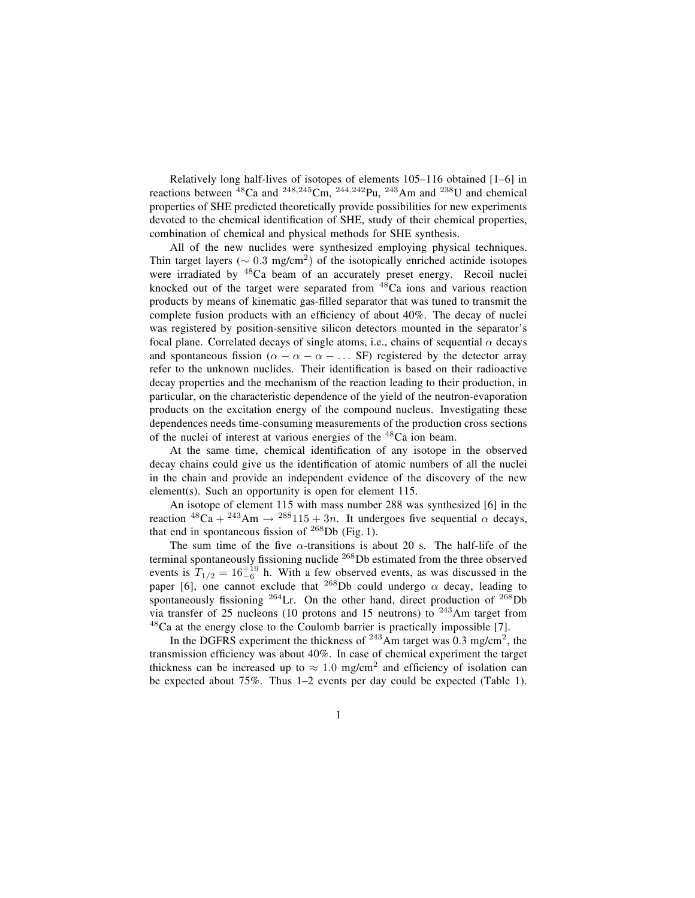Relatively long half-lives of isotopes of elements  $105-116$  obtained  $[1-6]$  in reactions between  $^{48}$ Ca and  $^{248,245}$ Cm,  $^{244,242}$ Pu,  $^{243}$ Am and  $^{238}$ U and chemical properties of SHE predicted theoretically provide possibilities for new experiments devoted to the chemical identification of SHE, study of their chemical properties, combination of chemical and physical methods for SHE synthesis.

All of the new nuclides were synthesized employing physical techniques. Thin target layers ( $\sim 0.3$  mg/cm<sup>2</sup>) of the isotopically enriched actinide isotopes were irradiated by <sup>48</sup>Ca beam of an accurately preset energy. Recoil nuclei knocked out of the target were separated from  $48$ Ca ions and various reaction products by means of kinematic gas-filled separator that was tuned to transmit the complete fusion products with an efficiency of about 40%. The decay of nuclei was registered by position-sensitive silicon detectors mounted in the separator's focal plane. Correlated decays of single atoms, i.e., chains of sequential  $\alpha$  decays and spontaneous fission ( $\alpha - \alpha - \alpha - \ldots$  SF) registered by the detector array refer to the unknown nuclides. Their identification is based on their radioactive decay properties and the mechanism of the reaction leading to their production, in particular, on the characteristic dependence of the yield of the neutron-evaporation products on the excitation energy of the compound nucleus. Investigating these dependences needs time-consuming measurements of the production cross sections of the nuclei of interest at various energies of the <sup>48</sup>Ca ion beam.

At the same time, chemical identification of any isotope in the observed decay chains could give us the identification of atomic numbers of all the nuclei in the chain and provide an independent evidence of the discovery of the new element(s). Such an opportunity is open for element 115.

An isotope of element 115 with mass number 288 was synthesized [6] in the reaction  ${}^{48}Ca + {}^{243}Am \rightarrow {}^{288}115 + 3n$ . It undergoes five sequential  $\alpha$  decays, that end in spontaneous fission of  $^{268}$ Db (Fig. 1).

The sum time of the five  $\alpha$ -transitions is about 20 s. The half-life of the terminal spontaneously fissioning nuclide  $^{268}$ Db estimated from the three observed events is  $T_{1/2} = 16^{+19}_{-6}$  h. With a few observed events, as was discussed in the paper [6], one cannot exclude that <sup>268</sup>Db could undergo  $\alpha$  decay, leading to spontaneously fissioning  $^{264}$ Lr. On the other hand, direct production of  $^{268}$ Db via transfer of 25 nucleons (10 protons and 15 neutrons) to  $243$ Am target from <sup>48</sup>Ca at the energy close to the Coulomb barrier is practically impossible [7].

In the DGFRS experiment the thickness of  $^{243}$ Am target was 0.3 mg/cm<sup>2</sup>, the transmission efficiency was about 40%. In case of chemical experiment the target thickness can be increased up to  $\approx 1.0$  mg/cm<sup>2</sup> and efficiency of isolation can be expected about  $75\%$ . Thus  $1-2$  events per day could be expected (Table 1).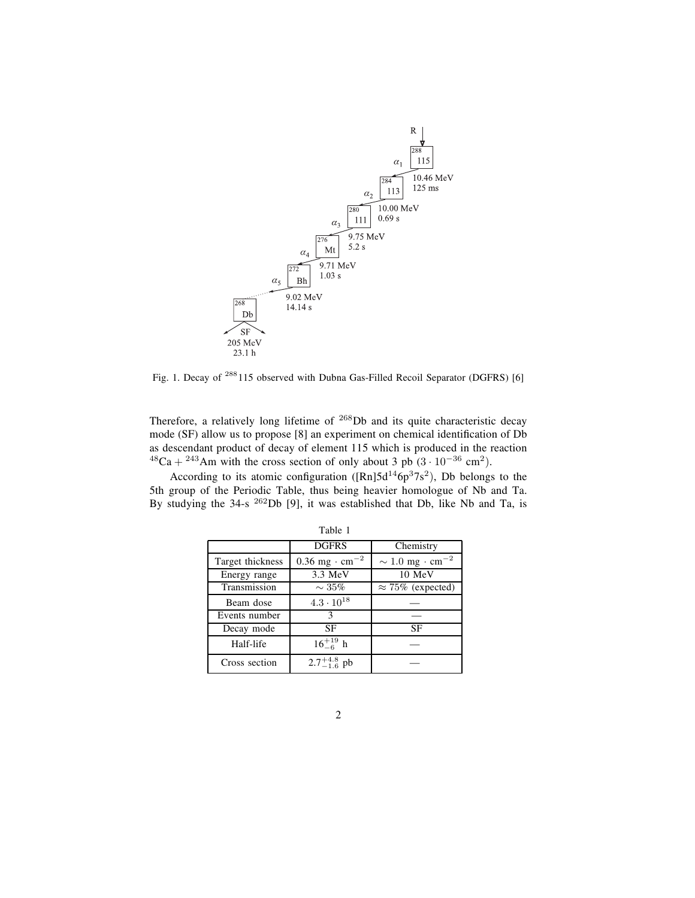

Fig. 1. Decay of <sup>288</sup>115 observed with Dubna Gas-Filled Recoil Separator (DGFRS) [6]

Therefore, a relatively long lifetime of <sup>268</sup>Db and its quite characteristic decay mode (SF) allow us to propose  $[8]$  an experiment on chemical identification of  $Db$ as descendant product of decay of element 115 which is produced in the reaction  $^{48}Ca + ^{243}Am$  with the cross section of only about 3 pb  $(3 \cdot 10^{-36} \text{ cm}^2)$ .

According to its atomic configuration ( $[Rn]5d^{14}6p^37s^2$ ), Db belongs to the 5th group of the Periodic Table, thus being heavier homologue of Nb and Ta. By studying the 34-s <sup>262</sup>Db [9], it was established that Db, like Nb and Ta, is

|                  | <b>DGFRS</b><br>Chemistry              |                                            |  |  |
|------------------|----------------------------------------|--------------------------------------------|--|--|
| Target thickness | $0.36 \text{ mg} \cdot \text{cm}^{-2}$ | $\sim 1.0 \text{ mg} \cdot \text{cm}^{-2}$ |  |  |
| Energy range     | $3.3 \text{ MeV}$                      | 10 MeV                                     |  |  |
| Transmission     | $\sim 35\%$                            | $\approx 75\%$ (expected)                  |  |  |
| Beam dose        | $4.3 \cdot 10^{18}$                    |                                            |  |  |
| Events number    | 3                                      |                                            |  |  |
| Decay mode       | SF                                     | SF                                         |  |  |
| Half-life        | $16^{+19}_{-6}$ h                      |                                            |  |  |
| Cross section    | $2.7^{+4.8}_{-1.6}$ pb                 |                                            |  |  |

Table 1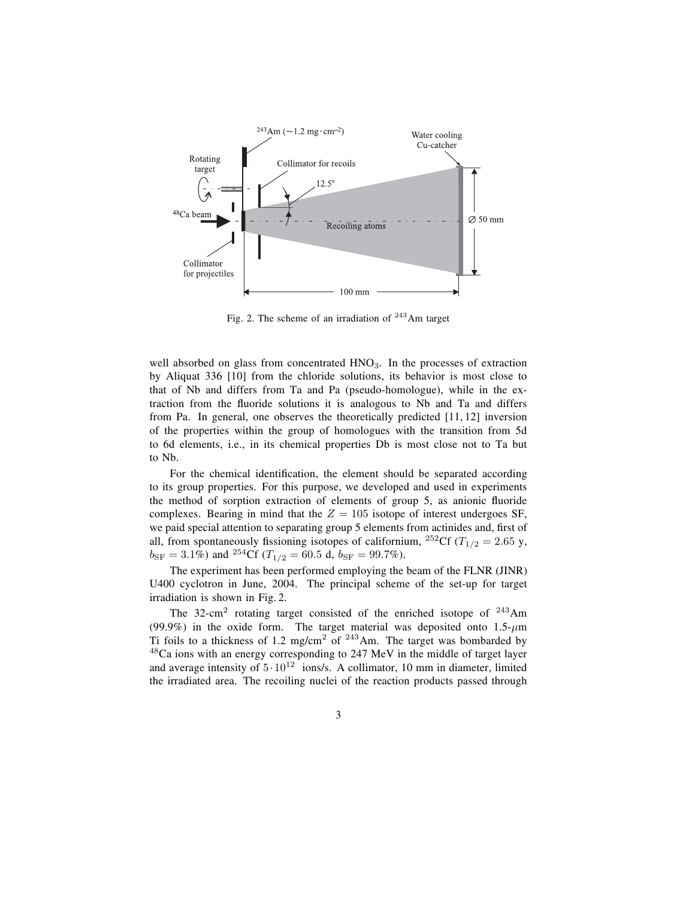

Fig. 2. The scheme of an irradiation of  $243$  Am target

well absorbed on glass from concentrated  $HNO<sub>3</sub>$ . In the processes of extraction by Aliquat 336 [10] from the chloride solutions, its behavior is most close to that of Nb and differs from Ta and Pa (pseudo-homologue), while in the extraction from the fluoride solutions it is analogous to Nb and Ta and differs from Pa. In general, one observes the theoretically predicted [11, 12] inversion of the properties within the group of homologues with the transition from 5d to 6d elements, i.e., in its chemical properties Db is most close not to Ta but to Nb.

For the chemical identification, the element should be separated according to its group properties. For this purpose, we developed and used in experiments the method of sorption extraction of elements of group 5, as anionic fluoride complexes. Bearing in mind that the  $Z = 105$  isotope of interest undergoes SF, we paid special attention to separating group 5 elements from actinides and, first of all, from spontaneously fissioning isotopes of californium, <sup>252</sup>Cf ( $T_{1/2} = 2.65$  y,  $b_{\rm SF} = 3.1\%$ ) and <sup>254</sup>Cf ( $T_{1/2} = 60.5$  d,  $b_{\rm SF} = 99.7\%$ ).

The experiment has been performed employing the beam of the FLNR (JINR) U400 cyclotron in June, 2004. The principal scheme of the set-up for target irradiation is shown in Fig. 2.

The  $32$ -cm<sup>2</sup> rotating target consisted of the enriched isotope of  $243$ Am (99.9%) in the oxide form. The target material was deposited onto  $1.5-\mu m$ Ti foils to a thickness of 1.2 mg/cm<sup>2</sup> of  $243$ Am. The target was bombarded by  $48$ Ca ions with an energy corresponding to 247 MeV in the middle of target layer and average intensity of  $5 \cdot 10^{12}$  ions/s. A collimator, 10 mm in diameter, limited the irradiated area. The recoiling nuclei of the reaction products passed through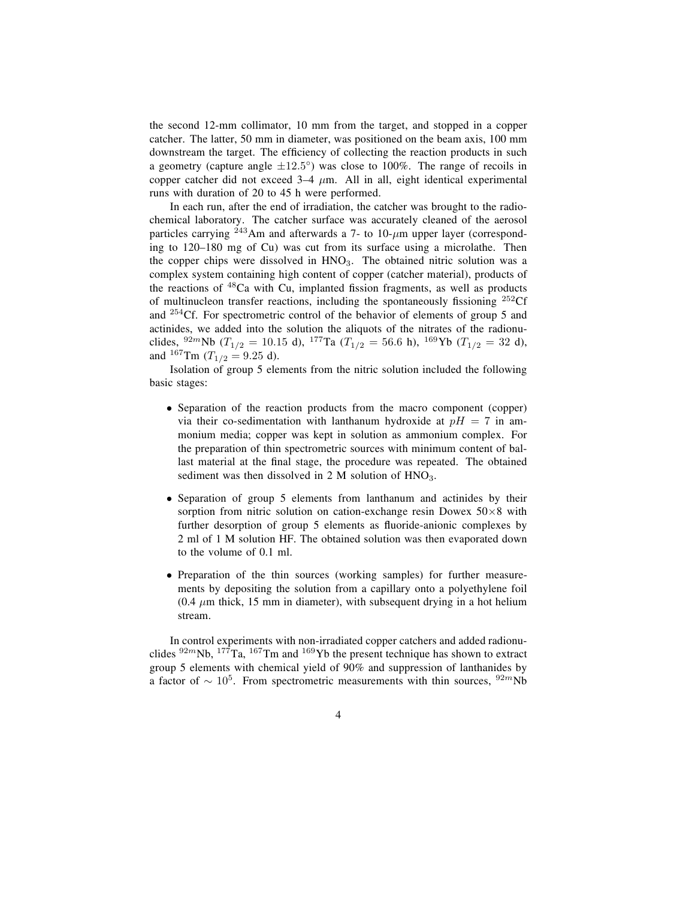the second 12-mm collimator, 10 mm from the target, and stopped in a copper catcher. The latter, 50 mm in diameter, was positioned on the beam axis, 100 mm downstream the target. The efficiency of collecting the reaction products in such a geometry (capture angle  $\pm 12.5^{\circ}$ ) was close to 100%. The range of recoils in copper catcher did not exceed  $3-4 \mu m$ . All in all, eight identical experimental runs with duration of 20 to 45 h were performed.

In each run, after the end of irradiation, the catcher was brought to the radiochemical laboratory. The catcher surface was accurately cleaned of the aerosol particles carrying  $^{243}$ Am and afterwards a 7- to 10- $\mu$ m upper layer (corresponding to 120–180 mg of Cu) was cut from its surface using a microlathe. Then the copper chips were dissolved in  $HNO<sub>3</sub>$ . The obtained nitric solution was a complex system containing high content of copper (catcher material), products of the reactions of  $48$ Ca with Cu, implanted fission fragments, as well as products of multinucleon transfer reactions, including the spontaneously fissioning  $^{252}$ Cf and <sup>254</sup>Cf. For spectrometric control of the behavior of elements of group 5 and actinides, we added into the solution the aliquots of the nitrates of the radionuclides,  $92m$ Nb ( $T_{1/2} = 10.15$  d),  $177$ Ta ( $T_{1/2} = 56.6$  h),  $169$ Yb ( $T_{1/2} = 32$  d), and  ${}^{167}\text{Tm}$  (T<sub>1/2</sub> = 9.25 d).

Isolation of group 5 elements from the nitric solution included the following basic stages:

- Separation of the reaction products from the macro component (copper) via their co-sedimentation with lanthanum hydroxide at  $pH = 7$  in ammonium media; copper was kept in solution as ammonium complex. For the preparation of thin spectrometric sources with minimum content of ballast material at the final stage, the procedure was repeated. The obtained sediment was then dissolved in 2 M solution of  $HNO<sub>3</sub>$ .
- Separation of group 5 elements from lanthanum and actinides by their sorption from nitric solution on cation-exchange resin Dowex  $50\times8$  with further desorption of group 5 elements as fluoride-anionic complexes by 2 ml of 1 M solution HF. The obtained solution was then evaporated down to the volume of 0.1 ml.
- Preparation of the thin sources (working samples) for further measurements by depositing the solution from a capillary onto a polyethylene foil  $(0.4 \mu m)$  thick, 15 mm in diameter), with subsequent drying in a hot helium stream.

In control experiments with non-irradiated copper catchers and added radionuclides  $92m$ Nb,  $177$ Ta,  $167$ Tm and  $169$ Yb the present technique has shown to extract group 5 elements with chemical yield of 90% and suppression of lanthanides by a factor of  $\sim 10^5$ . From spectrometric measurements with thin sources, <sup>92m</sup>Nb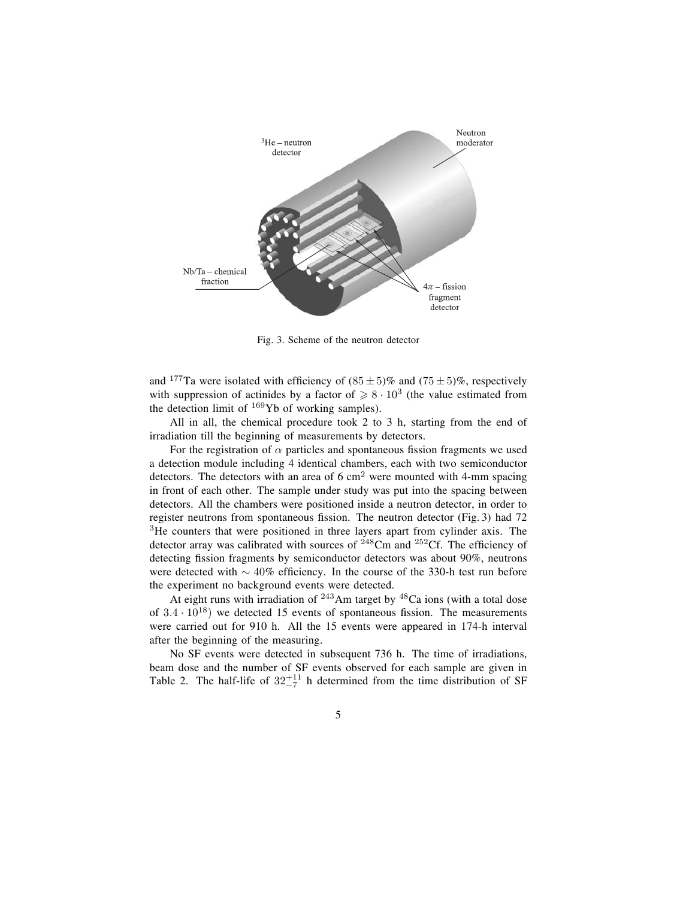

Fig. 3. Scheme of the neutron detector

and <sup>177</sup>Ta were isolated with efficiency of  $(85 \pm 5)\%$  and  $(75 \pm 5)\%$ , respectively with suppression of actinides by a factor of  $\geq 8 \cdot 10^3$  (the value estimated from the detection limit of  $^{169}Yb$  of working samples).

All in all, the chemical procedure took 2 to 3 h, starting from the end of irradiation till the beginning of measurements by detectors.

For the registration of  $\alpha$  particles and spontaneous fission fragments we used a detection module including 4 identical chambers, each with two semiconductor detectors. The detectors with an area of  $6 \text{ cm}^2$  were mounted with 4-mm spacing in front of each other. The sample under study was put into the spacing between detectors. All the chambers were positioned inside a neutron detector, in order to register neutrons from spontaneous fission. The neutron detector (Fig. 3) had  $72$ <sup>3</sup>He counters that were positioned in three layers apart from cylinder axis. The detector array was calibrated with sources of  $^{248}$ Cm and  $^{252}$ Cf. The efficiency of detecting fission fragments by semiconductor detectors was about 90%, neutrons were detected with  $\sim 40\%$  efficiency. In the course of the 330-h test run before the experiment no background events were detected.

At eight runs with irradiation of  $243$ Am target by  $48$ Ca ions (with a total dose of  $3.4 \cdot 10^{18}$ ) we detected 15 events of spontaneous fission. The measurements were carried out for 910 h. All the 15 events were appeared in 174-h interval after the beginning of the measuring.

No SF events were detected in subsequent 736 h. The time of irradiations, beam dose and the number of SF events observed for each sample are given in Table 2. The half-life of  $32^{+11}_{-7}$  h determined from the time distribution of SF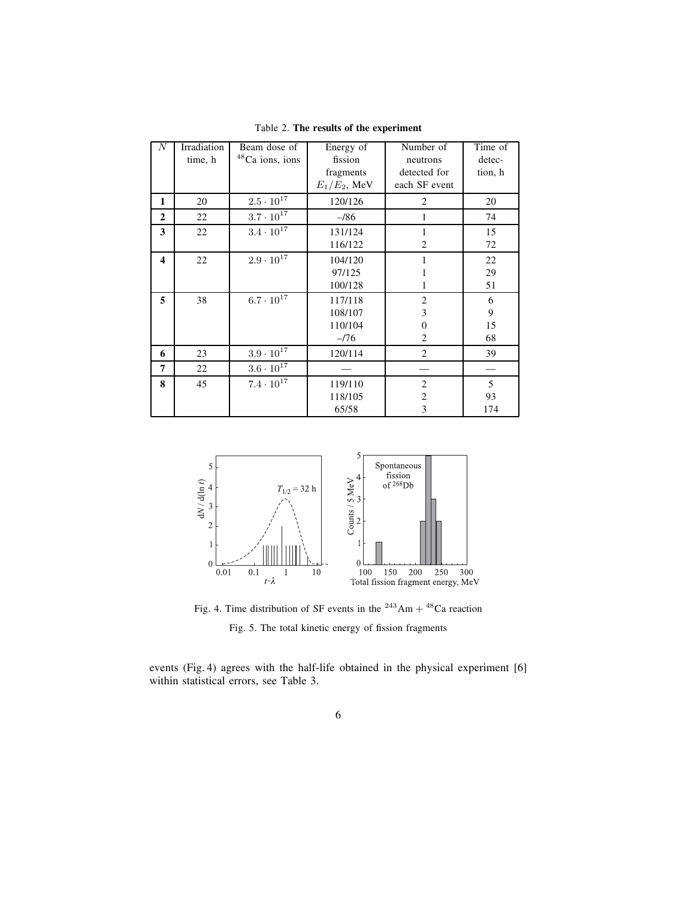| N                       | Irradiation | Beam dose of                | Energy of       | Number of        | Time of |
|-------------------------|-------------|-----------------------------|-----------------|------------------|---------|
|                         | time, h     | <sup>48</sup> Ca ions, ions | fission         | neutrons         | detec-  |
|                         |             |                             | fragments       | detected for     | tion, h |
|                         |             |                             | $E_1/E_2$ , MeV | each SF event    |         |
| 1                       | 20          | $2.5\cdot10^{17}$           | 120/126         | $\overline{c}$   | 20      |
| $\mathbf{2}$            | 22          | $3.7 \cdot 10^{17}$         | $-186$          | 1                | 74      |
| 3                       | 22          | $3.4 \cdot 10^{17}$         | 131/124         | 1                | 15      |
|                         |             |                             | 116/122         | 2                | 72      |
| $\overline{\mathbf{4}}$ | 22          | $2.9\cdot10^{17}$           | 104/120         |                  | 22      |
|                         |             |                             | 97/125          | 1                | 29      |
|                         |             |                             | 100/128         | 1                | 51      |
| 5                       | 38          | $6.7\cdot10^{17}$           | 117/118         | $\overline{c}$   | 6       |
|                         |             |                             | 108/107         | 3                | 9       |
|                         |             |                             | 110/104         | $\boldsymbol{0}$ | 15      |
|                         |             |                             | $-176$          | 2                | 68      |
| 6                       | 23          | $3.9 \cdot 10^{17}$         | 120/114         | $\overline{c}$   | 39      |
| 7                       | 22          | $3.6\cdot10^{17}$           |                 |                  |         |
| 8                       | 45          | $7.4 \cdot 10^{17}$         | 119/110         | $\overline{c}$   | 5       |
|                         |             |                             | 118/105         | $\overline{c}$   | 93      |
|                         |             |                             | 65/58           | 3                | 174     |

Table 2. **The results of the experiment**



Fig. 4. Time distribution of SF events in the <sup>243</sup>Am + <sup>48</sup>Ca reaction Fig. 5. The total kinetic energy of fission fragments

events (Fig. 4) agrees with the half-life obtained in the physical experiment [6] within statistical errors, see Table 3.

6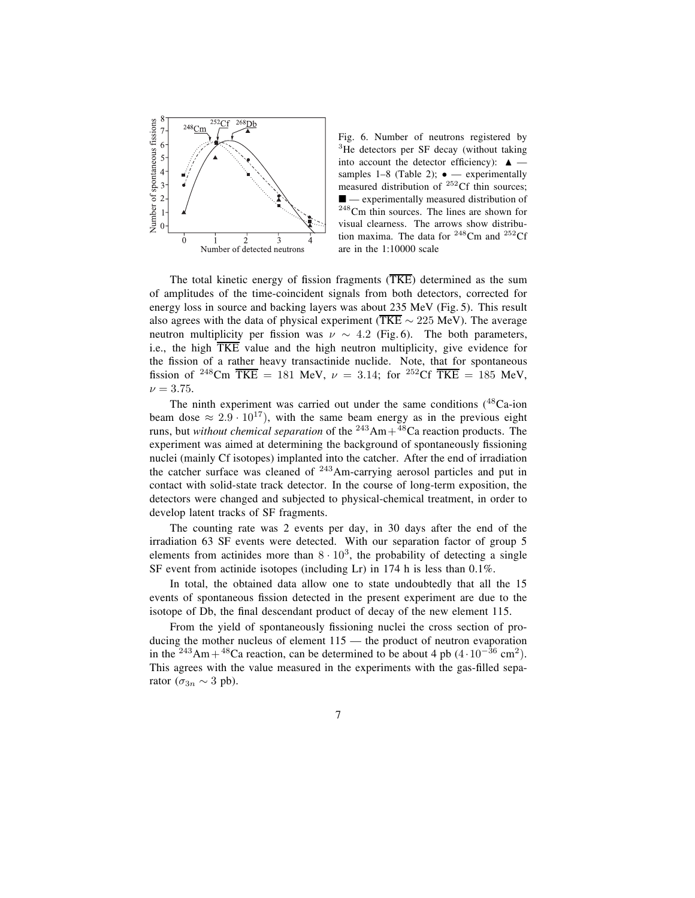

Fig. 6. Number of neutrons registered by  $3$ He detectors per SF decay (without taking into account the detector efficiency):  $\triangle$  – samples  $1-8$  (Table 2);  $\bullet -$  experimentally measured distribution of <sup>252</sup>Cf thin sources;  $\blacksquare$  — experimentally measured distribution of <sup>248</sup>Cm thin sources. The lines are shown for visual clearness. The arrows show distribution maxima. The data for  $248$ Cm and  $252$ Cf are in the 1:10000 scale

The total kinetic energy of fission fragments  $(TKE)$  determined as the sum of amplitudes of the time-coincident signals from both detectors, corrected for energy loss in source and backing layers was about 235 MeV (Fig. 5). This result also agrees with the data of physical experiment (TKE  $\sim$  225 MeV). The average neutron multiplicity per fission was  $\nu \sim 4.2$  (Fig. 6). The both parameters, i.e., the high TKE value and the high neutron multiplicity, give evidence for the fission of a rather heavy transactinide nuclide. Note, that for spontaneous fission of <sup>248</sup>Cm  $\overline{TKE} = 181$  MeV,  $\nu = 3.14$ ; for <sup>252</sup>Cf  $\overline{TKE} = 185$  MeV,  $\nu = 3.75$ .

The ninth experiment was carried out under the same conditions  $(^{48}Ca$ -ion beam dose  $\approx 2.9 \cdot 10^{17}$ , with the same beam energy as in the previous eight runs, but *without chemical separation* of the  $^{243}Am+^{48}Ca$  reaction products. The experiment was aimed at determining the background of spontaneously fissioning nuclei (mainly Cf isotopes) implanted into the catcher. After the end of irradiation the catcher surface was cleaned of <sup>243</sup>Am-carrying aerosol particles and put in contact with solid-state track detector. In the course of long-term exposition, the detectors were changed and subjected to physical-chemical treatment, in order to develop latent tracks of SF fragments.

The counting rate was 2 events per day, in 30 days after the end of the irradiation 63 SF events were detected. With our separation factor of group 5 elements from actinides more than  $8 \cdot 10^3$ , the probability of detecting a single SF event from actinide isotopes (including Lr) in 174 h is less than 0.1%.

In total, the obtained data allow one to state undoubtedly that all the 15 events of spontaneous fission detected in the present experiment are due to the isotope of Db, the final descendant product of decay of the new element 115.

From the yield of spontaneously fissioning nuclei the cross section of producing the mother nucleus of element  $115$  — the product of neutron evaporation in the <sup>243</sup>Am + <sup>48</sup>Ca reaction, can be determined to be about 4 pb  $(4 \cdot 10^{-36} \text{ cm}^2)$ . This agrees with the value measured in the experiments with the gas-filled separator ( $\sigma_{3n} \sim 3$  pb).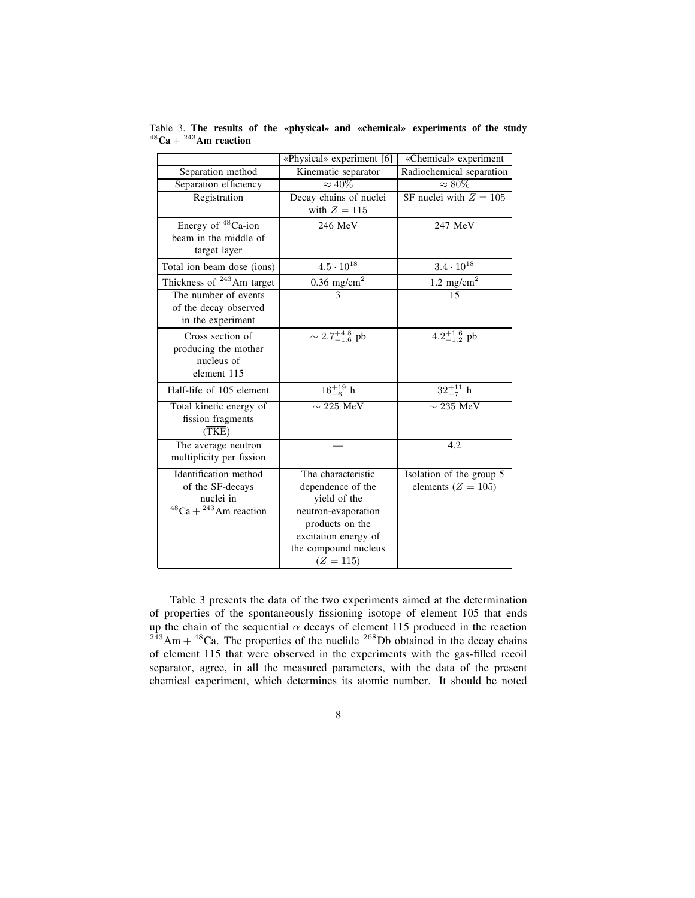|                                       | «Physical» experiment [6]   | «Chemical» experiment    |
|---------------------------------------|-----------------------------|--------------------------|
| Separation method                     | Kinematic separator         | Radiochemical separation |
| Separation efficiency                 | $\approx 40\%$              | $\approx 80\%$           |
| Registration                          | Decay chains of nuclei      | SF nuclei with $Z = 105$ |
|                                       | with $Z = 115$              |                          |
| Energy of <sup>48</sup> Ca-ion        | 246 MeV                     | 247 MeV                  |
| beam in the middle of                 |                             |                          |
| target layer                          |                             |                          |
| Total ion beam dose (ions)            | $4.5\cdot10^{18}$           | $3.4\cdot10^{18}$        |
| Thickness of <sup>243</sup> Am target | $0.36$ mg/cm <sup>2</sup>   | 1.2 $mg/cm2$             |
| The number of events                  | $\overline{3}$              | $\overline{15}$          |
| of the decay observed                 |                             |                          |
| in the experiment                     |                             |                          |
| Cross section of                      | $\sim 2.7^{+4.8}_{-1.6}$ pb | $4.2^{+1.6}_{-1.2}$ pb   |
| producing the mother                  |                             |                          |
| nucleus of                            |                             |                          |
| element 115                           |                             |                          |
| Half-life of 105 element              | $16^{+19}_{-6}$ h           | $32^{+11}_{-7}$ h        |
| Total kinetic energy of               | $\sim 225$ MeV              | $\sim$ 235 MeV           |
| fission fragments                     |                             |                          |
| (TKE)                                 |                             |                          |
| The average neutron                   |                             | 4.2                      |
| multiplicity per fission              |                             |                          |
| Identification method                 | The characteristic          | Isolation of the group 5 |
| of the SF-decays                      | dependence of the           | elements ( $Z = 105$ )   |
| nuclei in                             | yield of the                |                          |
| $48$ Ca + $243$ Am reaction           | neutron-evaporation         |                          |
|                                       | products on the             |                          |
|                                       | excitation energy of        |                          |
|                                       | the compound nucleus        |                          |
|                                       | $(Z = 115)$                 |                          |

Table 3. The results of the «physical» and «chemical» experiments of the study  $48$ Ca +  $243$ Am reaction

Table 3 presents the data of the two experiments aimed at the determination of properties of the spontaneously fissioning isotope of element 105 that ends up the chain of the sequential  $\alpha$  decays of element 115 produced in the reaction  $^{243}$ Am +  $^{48}$ Ca. The properties of the nuclide  $^{268}$ Db obtained in the decay chains of element 115 that were observed in the experiments with the gas-filled recoil separator, agree, in all the measured parameters, with the data of the present chemical experiment, which determines its atomic number. It should be noted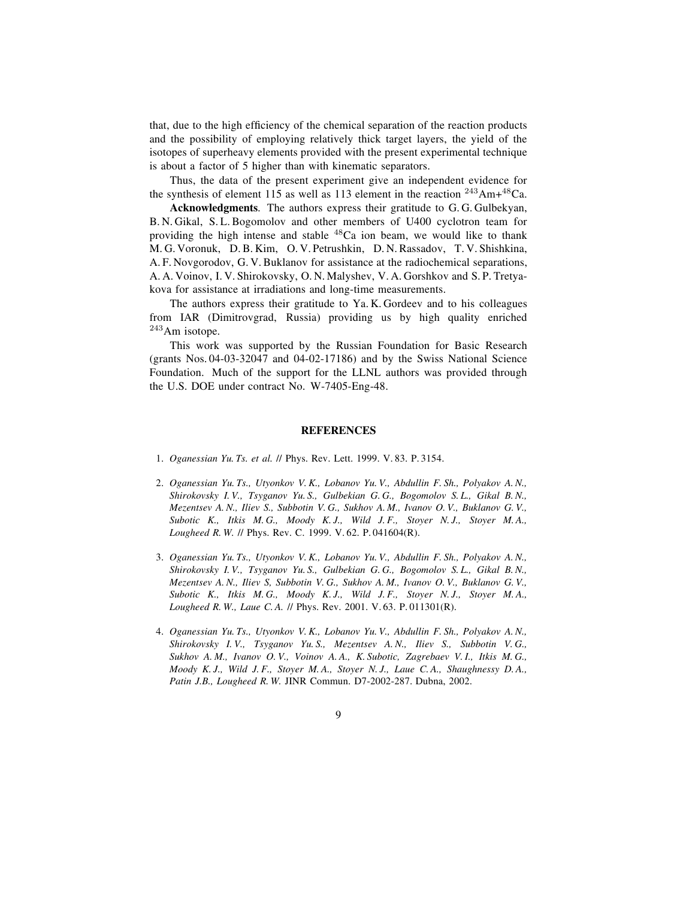that, due to the high efficiency of the chemical separation of the reaction products and the possibility of employing relatively thick target layers, the yield of the isotopes of superheavy elements provided with the present experimental technique is about a factor of 5 higher than with kinematic separators.

Thus, the data of the present experiment give an independent evidence for the synthesis of element 115 as well as 113 element in the reaction  $243$ Am+ $48$ Ca.

**Acknowledgments**. The authors express their gratitude to G. G. Gulbekyan, B. N. Gikal, S. L. Bogomolov and other members of U400 cyclotron team for providing the high intense and stable  $48Ca$  ion beam, we would like to thank M. G. Voronuk, D. B. Kim, O. V. Petrushkin, D. N. Rassadov, T. V. Shishkina, A. F. Novgorodov, G. V. Buklanov for assistance at the radiochemical separations, A. A. Voinov, I. V. Shirokovsky, O. N. Malyshev, V. A. Gorshkov and S. P. Tretyakova for assistance at irradiations and long-time measurements.

The authors express their gratitude to Ya. K. Gordeev and to his colleagues from IAR (Dimitrovgrad, Russia) providing us by high quality enriched <sup>243</sup>Am isotope.

This work was supported by the Russian Foundation for Basic Research (grants Nos. 04-03-32047 and 04-02-17186) and by the Swiss National Science Foundation. Much of the support for the LLNL authors was provided through the U.S. DOE under contract No. W-7405-Eng-48.

## **REFERENCES**

- 1. *Oganessian Yu. Ts. et al.* // Phys. Rev. Lett. 1999. V. 83. P. 3154.
- 2. *Oganessian Yu. Ts., Utyonkov V. K., Lobanov Yu. V., Abdullin F. Sh., Polyakov A. N., Shirokovsky I. V., Tsyganov Yu. S., Gulbekian G. G., Bogomolov S. L., Gikal B. N., Mezentsev A. N., Iliev S., Subbotin V. G., Sukhov A. M., Ivanov O. V., Buklanov G. V., Subotic K., Itkis M. G., Moody K. J., Wild J. F., Stoyer N. J., Stoyer M. A., Lougheed R. W.* // Phys. Rev. C. 1999. V. 62. P. 041604(R).
- 3. *Oganessian Yu. Ts., Utyonkov V. K., Lobanov Yu. V., Abdullin F. Sh., Polyakov A. N., Shirokovsky I. V., Tsyganov Yu. S., Gulbekian G. G., Bogomolov S. L., Gikal B. N., Mezentsev A. N., Iliev S, Subbotin V. G., Sukhov A. M., Ivanov O. V., Buklanov G. V., Subotic K., Itkis M. G., Moody K. J., Wild J. F., Stoyer N. J., Stoyer M. A., Lougheed R. W., Laue C. A.* // Phys. Rev. 2001. V. 63. P. 011301(R).
- 4. *Oganessian Yu. Ts., Utyonkov V. K., Lobanov Yu. V., Abdullin F. Sh., Polyakov A. N., Shirokovsky I. V., Tsyganov Yu. S., Mezentsev A. N., Iliev S., Subbotin V. G., Sukhov A. M., Ivanov O. V., Voinov A. A., K. Subotic, Zagrebaev V. I., Itkis M. G., Moody K. J., Wild J. F., Stoyer M. A., Stoyer N. J., Laue C. A., Shaughnessy D. A., Patin J.B., Lougheed R. W.* JINR Commun. D7-2002-287. Dubna, 2002.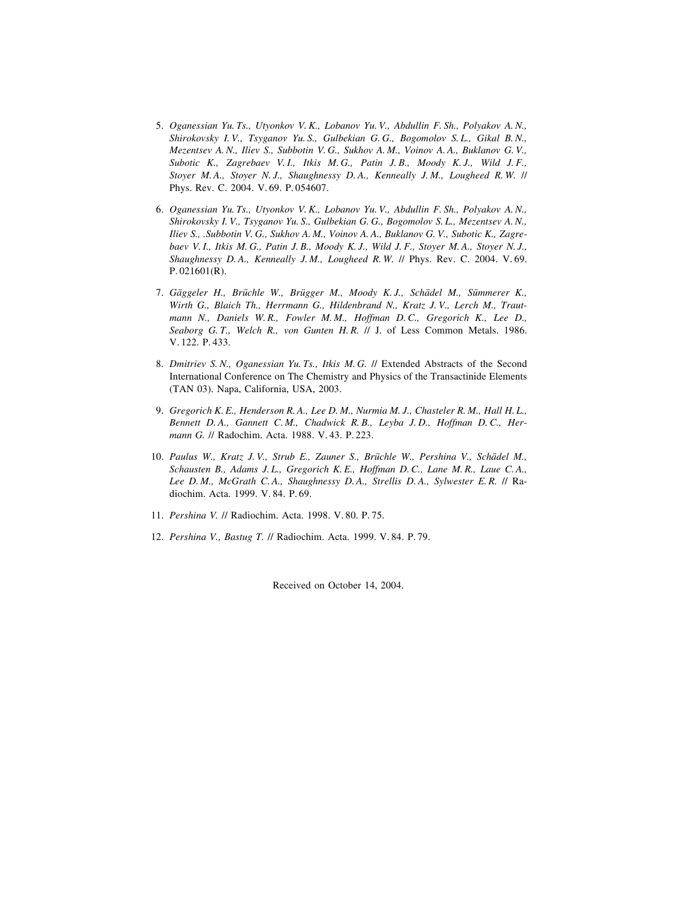- 5. *Oganessian Yu. Ts., Utyonkov V. K., Lobanov Yu. V., Abdullin F. Sh., Polyakov A. N., Shirokovsky I. V., Tsyganov Yu. S., Gulbekian G. G., Bogomolov S. L., Gikal B. N., Mezentsev A. N., Iliev S., Subbotin V. G., Sukhov A. M., Voinov A. A., Buklanov G. V., Subotic K., Zagrebaev V. I., Itkis M. G., Patin J. B., Moody K. J., Wild J. F., Stoyer M. A., Stoyer N. J., Shaughnessy D. A., Kenneally J. M., Lougheed R. W.* // Phys. Rev. C. 2004. V. 69. P. 054607.
- 6. *Oganessian Yu. Ts., Utyonkov V. K., Lobanov Yu. V., Abdullin F. Sh., Polyakov A. N., Shirokovsky I. V., Tsyganov Yu. S., Gulbekian G. G., Bogomolov S. L., Mezentsev A. N., Iliev S., .Subbotin V. G., Sukhov A. M., Voinov A. A., Buklanov G. V., Subotic K., Zagrebaev V. I., Itkis M. G., Patin J. B., Moody K. J., Wild J. F., Stoyer M. A., Stoyer N. J., Shaughnessy D. A., Kenneally J. M., Lougheed R. W.* // Phys. Rev. C. 2004. V. 69. P. 021601(R).
- 7. *Géaggeler H., Bréuchle W., Bréugger M., Moody K. J., Schéadel M., Séummerer K., Wirth G., Blaich Th., Herrmann G., Hildenbrand N., Kratz J. V., Lerch M., Trautmann N., Daniels W. R., Fowler M. M., Hoffman D. C., Gregorich K., Lee D., Seaborg G. T., Welch R., von Gunten H. R.* // J. of Less Common Metals. 1986. V. 122. P. 433.
- 8. *Dmitriev S. N., Oganessian Yu. Ts., Itkis M. G.* // Extended Abstracts of the Second International Conference on The Chemistry and Physics of the Transactinide Elements (TAN 03). Napa, California, USA, 2003.
- 9. *Gregorich K. E., Henderson R. A., Lee D. M., Nurmia M. J., Chasteler R. M., Hall H. L., Bennett D. A., Gannett C. M., Chadwick R. B., Leyba J. D., Hoffman D. C., Hermann G.* // Radochim. Acta. 1988. V. 43. P. 223.
- 10. *Paulus W., Kratz J. V., Strub E., Zauner S., Bréuchle W., Pershina V., Schéadel M., Schausten B., Adams J. L., Gregorich K. E., Hoffman D. C., Lane M. R., Laue C. A., Lee D. M., McGrath C. A., Shaughnessy D. A., Strellis D. A., Sylwester E. R.* // Radiochim. Acta. 1999. V. 84. P. 69.
- 11. *Pershina V.* // Radiochim. Acta. 1998. V. 80. P. 75.
- 12. *Pershina V., Bastug T.* // Radiochim. Acta. 1999. V. 84. P. 79.

Received on October 14, 2004.